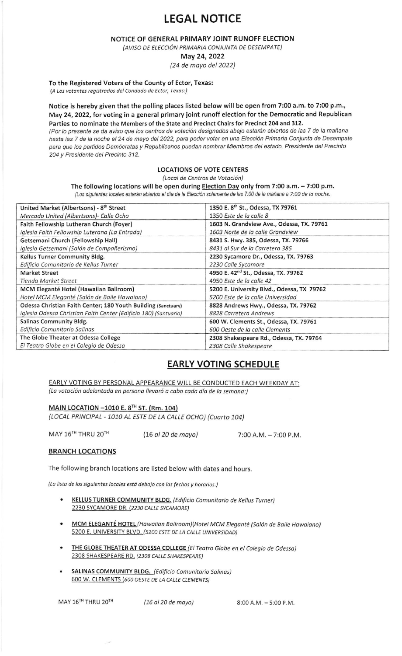# LEGAL NOTICE

NOTICE OF GENERAL PRIMARY JOINT RUNOFF ELECTION

(AVISO DE ELECCIÓN PRIMARIA CONJUNTA DE DESEMPATE)

May 24,2022

(24 de moyo del 2022)

To the Registered Voters of the County of Ector, Texas:

(A Los votantes registrados del Condado de Ector, Texas:)

Notice is hereby given that the polling places listed below will be open from 7:00 a.m. to 7:00 p.m., May 24,2022, for voting in a general primary joint runoff election for the Democratic and Republican Parties to nominate the Members of the State and Precinct Chairs for Precinct 204 and 312. (Por lo presente se da aviso que los centros de votación designados abajo estarán abiertos de las 7 de la mañana hasta las 7 de la noche el 24 de mayo del 2022, para poder votar en una Elección Primaria Conjunta de Desempate para que los partidos Demócratas y Republicanos puedan nombrar Miembros del estado, Presidente del Precinto 204 y Presidente del Precinto 312.

### LOCATIONS OF VOTE CENTERS

(Local de Centros de Votación)

#### The following locations will be open during Election Day only from 7:00 a,m.  $-7:00$  p.m.

(Los siguientes locales estarán abiertos el día de la Elección solamente de las 7:00 de la mañana a 7:00 de la noche.

| United Market (Albertsons) - 8 <sup>th</sup> Street              | 1350 E. 8 <sup>th</sup> St., Odessa, TX 79761   |
|------------------------------------------------------------------|-------------------------------------------------|
| Mercado United (Albertsons)- Calle Ocho                          | 1350 Este de la calle 8                         |
| Faith Fellowship Lutheran Church (Foyer)                         | 1603 N. Grandview Ave., Odessa, TX. 79761       |
| Iglesia Faith Fellowship Luterana (La Entrada)                   | 1603 Norte de la calle Grandview                |
| Getsemani Church (Fellowship Hall)                               | 8431 S. Hwy. 385, Odessa, TX. 79766             |
| Iglesia Getsemani (Salón de Compañerismo)                        | 8431 al Sur de la Carretera 385                 |
| Kellus Turner Community Bldg.                                    | 2230 Sycamore Dr., Odessa, TX. 79763            |
| Edificio Comunitario de Kellus Turner                            | 2230 Calle Sycamore                             |
| <b>Market Street</b>                                             | 4950 E. 42 <sup>nd</sup> St., Odessa, TX. 79762 |
| Tienda Market Street                                             | 4950 Este de la calle 42                        |
| MCM Eleganté Hotel (Hawaiian Ballroom)                           | 5200 E. University Blvd., Odessa, TX 79762      |
| Hotel MCM Eleganté (Salón de Baile Hawaiano)                     | 5200 Este de la calle Universidad               |
| Odessa Christian Faith Center; 180 Youth Building (Sanctuary)    | 8828 Andrews Hwy., Odessa, TX. 79762            |
| Iglesia Odessa Christian Faith Center (Edificio 180) (Santuario) | 8828 Carretera Andrews                          |
| Salinas Community Bldg.                                          | 600 W. Clements St., Odessa, TX. 79761          |
| Edificio Comunitario Salinas                                     | 600 Oeste de la calle Clements                  |
| The Globe Theater at Odessa College                              | 2308 Shakespeare Rd., Odessa, TX. 79764         |
| El Teatro Globe en el Colegio de Odessa                          | 2308 Calle Shakespeare                          |

## EARLY VOTING SCHEDULE

EARLY VOTING BY PERSONAL APPEARANCE WILL BE CONDUCTED EACH WEEKDAY AT: (La votación adelantada en persona llevará a cabo cada día de la semana:)

### MAIN LOCATION  $-1010$  E. 8<sup>TH</sup> ST. (Rm. 104)

(LOCAL PRINCIPAL - 1010 AL ESTE DE LA CALLE OCHO) (Cuarto 104)

MAY  $16^{TH}$  THRU  $20^{TH}$  (16 *al 20 de mayo)* 7:00 A.M. - 7:00 P.M.

### BRANCH LOCATIONS

The following branch locations are listed below with dates and hours.

(La lista de los siguientes locales está debajo con las fechas y horarios.<sub>)</sub>

- KELLUS TURNER COMMUNITY BLDG. (Edificio Comunitario de Kellus Turner) 2230 SYCAMORE DR. (2230 CALLE SYCAMORE)
- **MCM ELEGANTÉ HOTEL** (Hawaiian Ballroom) (Hotel MCM Eleganté (Salón de Baile Hawaiano) 5200 E. UNIVERSITY BLVD. (5200 ESTE DE LA CALLE UNIVERSIDAD)
- THE GLOBE THEATER AT ODESSA COLLEGE /ElTeotro 6lobe en el Colegio de Odesso) 2308 SHAKESPEARE RD. (2308 CALLE SHAKESPEARE)
- SALINAS COMMUNITY BLDG. (Edificio Comunitario Salinas) 600 W. CLEMENTS (600 OESTE DE LA CALLE CLEMENTS)